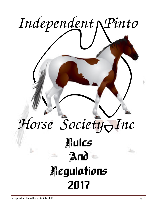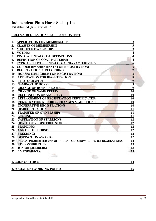# **Independent Pinto Horse Society Inc**

**Established January 2017** 

## **RULES & REGULATIONS TABLE OF CONTENT:**

| 1.         | <b>APPLICATION FOR MEMBERSHIP:</b>                                   | $\overline{\mathbf{3}}$ |
|------------|----------------------------------------------------------------------|-------------------------|
| 2.         | <b>CLASSES OF MEMBERSHIP:</b>                                        | $\overline{\mathbf{3}}$ |
| 3.         | <b>MULTIPLE OWNERSHIP:</b>                                           | $\overline{\mathbf{3}}$ |
| 4.         | VOTING:                                                              | $\boldsymbol{4}$        |
| 5.         | PINTO & PINTALOOSA DEFINITIONS:                                      | $\overline{\mathbf{4}}$ |
| 6.         | <b>DEFINITION OF COAT PATTERNS:</b>                                  | $\overline{\mathbf{4}}$ |
| 7.         | TYPICAL PINTO or PINTALOOSA CHARACTERISTICS:                         | $6\phantom{1}$          |
| 8.         | <b>COLOUR REQUIREMENTS FOR REGISTRATION:</b>                         | 6                       |
| 9.         | <b>REGISTRATION &amp; RECORDING:</b>                                 | $\overline{7}$          |
|            | 10. HORSES INELIGIBLE FOR REGISTRATION:                              | $\overline{\mathbf{8}}$ |
| 11.        | <b>APPLICATION FOR REGISTRATION:</b>                                 | $\overline{\mathbf{8}}$ |
| 12.        | PHOTOGRAPHS:                                                         | $\overline{9}$          |
|            | 13. NAMING THE HORSE:                                                | $\overline{9}$          |
|            | 14. CHANGE OF HORSE'S NAME:                                          | $\overline{9}$          |
|            | 15. CHANGE OF NAME PREFIX:                                           | 10                      |
|            | 16. RECOGNITION OF ANCESTRY:                                         | <b>10</b>               |
| 17.        | REPLACEMENT OF REGISTRATION CERTIFICATES:                            | <b>10</b>               |
|            | 18. REGISTRATION RECORDS, CHANGES & ADDITIONS:                       | 10                      |
|            | 19. INOPERATIVE REGISTRATIONS:                                       | <b>10</b>               |
|            | 20. DE-REGISTRATION:                                                 | 11                      |
| 21.        | <b>TRANSFER OF OWNERSHIP:</b>                                        | 11                      |
|            | 22. LEASING:                                                         | 11                      |
|            | 23. CASTRATION OF STALLIONS:                                         | 12                      |
|            | 24. DEATH OF REGISTERED STOCK:                                       | 12                      |
| 25.        | <b>BRANDING:</b>                                                     | 12                      |
|            | 26. AGE OF THE HORSE:                                                | 12                      |
|            | 27. BREEDING:                                                        | 12                      |
|            | 28. DISTINCTION AWARDS:                                              | 12                      |
|            | 29. DRUGS: PROHIBITED USE OF DRUGS - SEE SHOW RULES and REGULATIONS. | 12                      |
|            | 30. RESPONSIBILITIES:                                                | 13                      |
|            | 31. JUNIOR MEMBERS:                                                  | <u>13</u>               |
| <b>32.</b> | <b>AMENDMENTS:</b>                                                   | 13                      |
|            |                                                                      |                         |
|            | 1. CODE of ETHICS                                                    | 14                      |
|            |                                                                      |                         |
|            | 2. SOCIAL NETWORKING POLICY                                          | 16                      |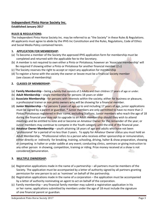## **Independent Pinto Horse Society Inc.**

### **Established January 2017**

### **RULES & REGULATIONS:**

The Independent Pinto Horse Society Inc. may be referred to as "the Society" in these Rules & Regulations. All applicants must agree to abide by the IPHS Inc Constitution and the Rules, Regulations, Code of Ethics and Social Media Policy contained herein.

### **1. APPLICATION FOR MEMBERSHIP:**

- (a) To become a member of the Society the approved IPHS application form for membership must be completed and returned with the applicable fee to the Secretary.
- (b) A member is not required to own either a Pinto or Pintaloosa; however an 'Associate membership' will Be required if showing either a Pinto or Pintaloosa for another financial member (2.c)
- (c) The Society reserves the right to accept or reject any application for membership
- (d) To register a horse with the society the owner or lessee must be a financial Society member (see classes of membership)

### **2. CLASSES OF MEMBERSHIP:**

- (a) **Family Membership** being a family that consists of 2 Adults and their children 17 years of age or under.
- (b) **Adult Membership** single membership for persons 18 years or older
- (c) **Associate Membership** for persons with interests within the society; either for business or pleasure, a professional trainer or non pinto owners who will be showing for a financial member.
- (d) **Junior Membership** for persons 5 years of age up to and including 17 years of age, junior applications must be signed by a parent or guardian. \* Junior members are only permitted to have no more than 2 Pintos/Pintaloosas registered in their name, excluding Stallions. Junior members who reach the age of 18 during the financial year may opt to upgrade to an Adult membership should they wish to attend meetings and be entitled to vote and or become an Amateur Owner for the remainder of the year; or Junior members may continue to compete in the Youth category until the end of the financial year.
- (e) **Amateur Owner Membership** youth attaining 18 years of age and adults who have not been 'professional' for a period of no less than 3 years. To apply for Amateur Owner status you must hold an Adult Membership. \*Professional refers to a person who receives either sponsorship or remuneration, either directly or indirectly for breaking, training, schooling, driving, halter & show preparation, showing or competing in halter or under saddle at any event; conducting clinics, seminars or giving instruction to any other person in showing, competition, training or riding. Prize money received at a show is not considered remuneration.

## **3. MULTIPLE OWNERSHIP:**

- (a) Registration applications made in the name of a partnership all partners must be members of the Society. The application must be accompanied by a letter of authority signed by all partners granting permission for one person to act as 'nominee' on behalf of the partnership.
- (b) Registration applications made in the name of a corporation the application must be accompanied by a letter of authority nominating an agent to act on behalf of the corporation.
- (c) Family membership any financial family member may submit a registration application in his or her name; applications submitted by members under the age of 18 must include the signature of one financial parent or guardian.

Independent Pinto Horse Society 2017 **Page 3**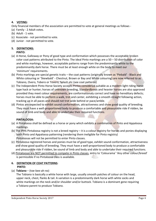## **4. VOTING:**

Only financial members of the association are permitted to vote at general meetings as follows -

- (a) Family 2 Adult votes.
- (b) Adult 1 vote.
- (c) Associate not permitted to vote.
- (d) Junior not permitted to vote.

#### **5. DEFINITIONS: PINTO:**

- (a) A Horse, Galloway or Pony of good type and conformation which possesses the acceptable broken color coat patterns attributed to the Pinto. The ideal Pinto markings are a 50 – 50 distribution of color and white markings, however, acceptable patterns range from the predominantly white to the predominantly dark horse. There must be at least enough white on the body to meet our 'minimum' requirements.
- (b) Pinto markings are special genetic traits the coat patterns (originally known as 'Piebald' Black and White colouring or 'Skewbald' - Chestnut, Brown or Bay and White colouring) are now referred to as Tobiano, Overo, Tobero or Tovero, Splash etc (see coat patterns)
- (c) The Independent Pinto Horse Society accepts Pintos considered suitable as a modern light riding horse type hack or hunter; horses of unknown breeding, Standardbreds and heavier horses are also approved provided they meet colour requirements, are conformationaly correct and have no hereditary defects; horses must be able to perform a walk, trot and canter, exhibiting a smooth straight following action, tracking up in all paces and should not trot wide behind or pace/amble.
- (d) Pintos are expected to exhibit sound conformation, attractiveness and show good quality of breeding. They must have a well-proportioned body to produce a comfortable and pleasurable ride if ridden, be sound of limb and body and able to undertake their required functions.

## **PINTALOOSA:**

- (a) A Pintaloosa shall be defined as a horse or pony which exhibits a combination of Pinto and Appaloosa markings.
- (b) The IPHS Pintaloosa registry is not a breed registry it is a colour registry for horses and ponies displaying both Pinto and Appaloosa patterning (rendering them ineligible for Pinto registry) Pintaloosas will not be permitted to enter Pinto classes.
- (c) Pintaloosa registered horses and ponies must be of good type, exhibit sound conformation, attractiveness and show good quality of breeding. They must have a well-proportioned body to produce a comfortable and pleasurable ride if ridden, be sound of limb and body and able to undertake their required functions.
- (d) Pintaloosas are NOT permitted to compete in Pinto classes, entry to 'Colourama' 'Any other colour/breed' is permissible if no Pintaloosa class is available.

## **6. DEFINITION OF COAT PATTERNS: PINTO:**

(a) **Tobiano** – (toe-bee-ah-no)

 The Tobiano is basically a white horse with large, usually smooth patches of colour on the head, upper neck, chest, flanks & tail. A variation is a predominantly dark horse with white socks and white markings on the neck and/or shoulder and/or buttock. Tobiano is a dominant gene requiring a Tobiano parent to produce Tobiano.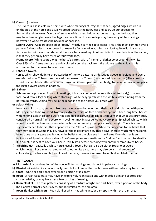### (b) **Overo** – (o-vair-o)

 The Overo is a solid coloured horse with white markings of irregular shaped, jagged edges which run on the side of the horse and usually spread towards the neck, legs and back. Colour appears to 'frame' the white areas. Overo's often have wide blazes, bald or apron markings on the face, they may have blue or glass eyes; the legs may be solid or 1 or more legs may have long white stockings, however no white crosses the neckline or backline.

 **Sabino Overo:** Appears speckled or "roany", mostly near the spot's edges. This is the most common overo pattern. Sabinos often have spotted or roan-like facial markings, which can look quite wild. It is rare to find a sabino with a normal star or stripe for a facial marking. Another distinct characteristic of the sabino, is that they generally have three or four white legs.

 **Frame Overo**: White spots along the horse's barrel, with a "frame" of darker color around the white. Over 95% of all frame overos are solid colored along the back from the withers to the tail, and it is uncommon for the mane to be of mixed color.

#### (c) **Tobero** / **Tovero**

Horses which show definite characteristics of the two patterns as described above in Tobiano and Overo are referred to as Tobero (pronounced toe-bear-oh) or Tovero (pronounced: tow vair' oh) Their coat can consist of completely different coat patterns on different parts of their body, Tobiano pattern in one place and jagged Overo edges in another.

#### (d) **Sabino**

 Sabino can be produced from solid matings, it is a dark coloured horse with a white (baldy) or apron face, solid colour legs or long white stockings, white belly splash with the white always running from the bottom upwards. Sabino may be in the bloodline of the horses you breed with.

#### (e) **Splash White**

Normally solid on top, but look like they have been rolled over onto their back and splashed with paint. Markings tend to be rounded. Normally extreme white on face and black eyeliner. For a long time, horses with minimal Splash coloring were not classified as carrying Splash. It is thought that what was previously considered a normal frame overo with eyeliner, may in fact be Frame Overo, plus Splashed White, which would make it much more common in the horse community then previously thought. There is some stigma attached to horses that appear with the "classic" Splashed White markings due to the belief that they may be deaf. Some may be, however the majority are not. These days, there is much more research being done on this gene and it is now the belief that the blue eye in non Frame Overo horses is an indication of Splash, and not sabino. The Overo gene can sometimes be "hidden" and be hard to identify. If in doubt, it is best to have your horse DNA tested before breeding with another Frame Overo horse.

(f**) Medicine Hat** - basically a white horse, usually Tovero but can also be either Tobiano or Overo, which shows nil or a minimal amount of colour on its ears, there may also be a small amount of colour along the back and bottom line of the neck, these are referred to as Shielded Medicine Hat.

#### **PINTALOOSA:**

- (a) Must exhibit a combination of the above Pinto markings and distinct Appaloosa markings.
- (b) **Blanket** A solid white area normally over, but not limited to, the hip area with a contrasting base colour.
- (c) **Spots** White or dark spots over all or a portion of it's body.
- (d) **Roan** A roan Appaloosa may have an extensively roan coat along with mottled skin and spotted coat characteristics, or may have just a few patches of roaning.
- (e) **Roan Blanket** The roan pattern consisting of a mixture of light and dark hairs, over a portion of the body. The blanket normally occurs over, but not limited to, the hip area.
- (f) **Roan Blanket with Spots** Roan blanket which has white and/or dark spots within the roan area.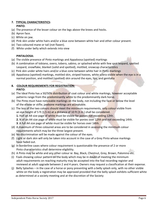## **7. TYPICAL CHARACTERISTICS:**

### **PINTO:**

- (a) The presence of the lesser colour on the legs above the knees and hocks.
- (b) Apron face.
- (c) White on jaw.
- (d) Pink skin under white hairs and/or a blue zone between white hair and other colour present.
- (e) Two coloured mane or tail (not flaxen).
- (f) White under belly which extends into view

## **PINTALOOSA:**

- (a) The visible presence of Pinto markings and Appaloosa (spotted) markings
- (b) A combination of tobiano, overo, tobero, sabino, or splashed white with few spot leopard, spotted Leopard, snowflake, blanket (solid and spotted), mottled, snowcap characteristics
- (c) Pink skin under white hairs and/or a blue zone between white hair in Pinto markings
- (d) Appaloosa (spotted) markings, mottled skin, striped hooves, white sclera visible when the eye is in a normal position, and mottled (spotted) skin around the eyes, lips, and genitalia

### **8. COLOUR REQUIREMENTS FOR REGISTRATION: PINTO:**

- (a) The Ideal Pinto has a 50/50% distribution of coat colour and white markings, however acceptable patterns range from the predominantly white to the predominantly dark horse.
- (b) The Pinto must have noticeable markings on the body, not including the face or below the level of the elbow or stifle; jawbone markings are acceptable.
- (c) The less of the two colours should meet the minimum requirements, only colour visible from an eye height of 5 ft (1.5 m) at a distance of 10 ft (3 m ) shall be considered.

 **1.** Half an A4 size page of white must be visible for ponies not exceeding 12hh.

 **2**. ¾ of an A4 size page of white must be visible for ponies over 12hh and not exceeding 14hh.

 **3**. A full A4 size page of white must be visible for horses over 14hh.

- (d) A maximum of three coloured areas are to be considered in assessing the minimum colour requirements which may be the three largest present.
- (e) No discrimination will be made against the colour of the eyes.
- (f) Light or dark skin will only be taken into account in the case of a Grey Pinto whose markings have faded out.
- (g) In borderline cases where colour requirement is questionable the presence of 2 or more Pinto characteristics shall determine eligibility.
- (h) A Pinto may be white and any other colour ie: Bay, Black, Chestnut, Grey, Brown, Palomino etc.
- (i) Foals showing colour pattern on the body which may be in doubt of meeting the minimum adult requirements on reaching maturity may be accepted into the foal recording register and reviewed at adult upgrade between 2 and 4 years. Owners may request a classification at their expense.
- (j) Belly Splashes in the case of a horse or pony presenting with a belly splash only, with no other visible white on the body a registration may be approved provided that the belly splash exhibits sufficient white as determined at a society meeting and at the discretion of the Society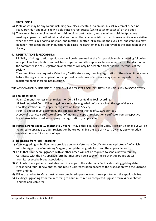#### **PINTALOOSA:**

- (a) Pintaloosas may be any colour including bay, black, chestnut, palomino, buckskin, cremello, perlino, roan, gray, dun and must show visible Pinto characteristics (white patch or patches) on the body
- (b) There must be a combined minimum visible pinto coat pattern, and a minimum visible Appaloosa marking apparent - mottled skin and at least one other characteristic; striped hooves, white sclera visible when the eye is in a normal position, and mottled (spotted) skin around the eyes, lips, and genitalia may be taken into consideration in questionable cases, registration may be approved at the discretion of the Society

#### **9. REGISTRATION & RECORDING:**

Eligibility of all registration applications will be determined at the first possible society meeting following receipt of each application and will have to pass committee approval before acceptance. The decision of the committee is final. Registration applications will only be accepted from financial members of the society.

The committee may request a Veterinary Certificate for any pending registration if they deem it necessary before the registration application is approved; a Veterinary Certificate may also be requested of any registered horse if called into question.

#### THE ASSOCIATION MAINTAINS THE FOLLOWING REGISTERS FOR IDENTIFYING PINTO & PINTALOOSA STOCK:

#### (a) **Foal Recording:**

 Foals 12 months or less must register for Colt, Filly or Gelding foal recording. All foal recorded Colts, Fillies or geldings **must** be upgraded before reaching the age of 4 years. Foal Registrations must apply for registration to the Society.

Four (4) photos must accompany the application with the fee of \$25.00 per foal.

 A copy of a service certificate of proof of mating or copy of registration certificate from a respective breed association must accompany the registration (if applicable)

(b) **Horse & Ponies aged 12 months to 2 years** – May either Foal Register Colts, Fillies or Geldings but will be required to upgrade to adult registration before obtaining the age of 4 years **OR** may apply for adult registration from 12 months of age.

#### (c) **Upgrading from Foal Recording:**

- (1) Colts upgrading to Stallion must provide a current Veterinary Certificate, 4 new photos 2 of which must be signed by a Veterinary Surgeon, completed upgrade form and the applicable fee.
- (2) Colts that have been upgraded with another breed will not be required to send a new Veterinary Certificate with the PHS upgrade form but must provide a copy of the relevant upgraded status from its respective breed association.
- (3) Colts which are gelded must also send in a copy of the Veterinary Certificate stating gelding date. Please send four (4) new photos, and return Colt registration papers to the association with the upgrade form and fee.
- (4) Fillies upgrading to Mare must return completed upgrade form, 4 new photos and the applicable fee.
- (5) Geldings upgrading from foal recording to adult must return completed upgrade form, 4 new photos and the applicable fee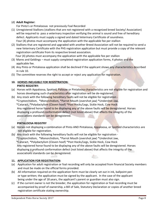### (d) **Adult Register:**

For Pinto's or Pintaloosas not previously Foal Recorded

- (1) Unregistered Stallions (stallions that are not registered with a recognized breed Society/ Association) will be required to pass a veterinary inspection verifying the animal is sound and free of hereditary defect. Applicants must supply a signed and dated Veterinary Certificate of soundness. Four (4) photos must accompany the application with the applicable fee per stallion
- (2) Stallions that are registered and upgraded with another Breed Association will not be required to send a new Veterinary Certificate with the PHS registration application but must provide a copy of the relevant registration certificate from its respective breed association. Four (4) photos must accompany the application with the applicable fee per stallion
- (3) Mares and Geldings must supply completed registration application forms, 4 photos and the applicable fee.
- (4) Any Pinto or Pintaloosa application shall be declined if the applicant shows any characteristics described in rule 10.
- (5) The committee reserves the right to accept or reject any application for registration.

## **10. HORSES INELIGIBLE FOR REGISTRATION:**

### **PINTO REGISTRY:**

- (a) Horses with Appaloosa, Spotted, Palouse or Pintaloosa characteristics are not eligible for registration and horses developing such characteristics after registration will be de-registered.
- (b) Any stock with the following hereditary faults will not be eligible for registration - \*Cryptorchidism, \*Monorchidism, \*Parrot Mouth (overshot jaw) \*Undershot Jaw, \*Cataract, \*Polydactylism (Cloven hoof) \*Post Hocks/Legs, Sickle Hock, Cow Hock Any registered horse found to be displaying any of the above faults will be deregistered. Horses displaying a profound conformation defect (not listed above) that affects the integrity of the associations standards can be deregistered.

## **PINTALOOSA REGISTRY**

- (a) Horses not displaying a combination of Pinto AND Pintaloosa, Appaloosa, or Spotted characteristics are not eligible for registration.
- (b) Any stock with the following hereditary faults will not be eligible for registration \*Cryptorchidism, \*Monorchidism, \*Parrot Mouth (overshot jaw) \*Undershot Jaw, \*Cataract, \*Polydactylism (Cloven hoof) \*Post Hocks/Legs, Sickle Hock, Cow Hock Any registered horse found to be displaying any of the above faults will be deregistered. Horses displaying a profound conformation defect (not listed above) that affects the integrity of the associations standards can be deregistered.

### **11. APPLICATION FOR REGISTRATION:**

- (a) Application for adult registration or foal recording will only be accepted from financial Society members and must be made on the official forms provided.
- (b) All information required on the application form must be clearly set out in ink, ballpoint pen or type written; the application must be signed by the applicant. In the case of the applicant being under the age of 18 years, the applicant's parent or guardian must also sign.
- (c) If the current owner is not the breeder, the application for registration or foal recording must be accompanied by proof of ownership, a Bill of Sale, Statutory Declaration or copies of another breed registration certificate stating ownership.

Independent Pinto Horse Society 2017 **Page 8**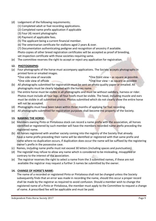- (d) Lodgement of the following requirements;
	- (1) Completed adult or foal recording applications.
	- (2) Completed name prefix application if applicable
	- (3) Four (4) recent photographs
	- (4) Payment of applicable fees.
	- (5) The applicant being a current financial member.
	- (6) The veterinarian certificate for stallions aged 2 years & over.

(7) Documentation authenticating pedigree and recognition of ancestry if available.

 Photo copies of other breed registration certificates will be accepted as proof of breeding, vet inspection certificate with those societies requiring same.

(e) The committee reserves the right to accept or reject any application for registration.

## **12. PHOTOGRAPHS:**

(a) Four photographs of the horse must accompany applications. The Society accepts photographs in printed form or emailed images.

\*One side view of nearside

\*One front view – as square as possible.

\*One side view of offside

- \*One rear view as square as possible
- (b) All photographs submitted for registration must be sent on photo quality paper or emailed. All photographs must be clearly labelled with the horses name.
- (c) The entire horse must be visible in all photographs and must be without saddlery, harness or rider. Photos must include all four legs; all four hoofs must be visible. The head, including muzzle and ears must be visible in all submitted photos. Photos submitted which do not clearly show the entire horse will not be accepted.
- (d) Photographs must have been taken within three months of applying for foal recording.
- (e) All photographs submitted for registration purposes shall become the property of the Society.

## **13. NAMING THE HORSE:**

- (a) Members owning Pinto or Pintaloosa stock can record a name prefix with the association, all horses identified or registered by such member will have the members recorded name prefix preceding the registered name.
- (b) All horses registered with another society coming into the registry of the Society that already have a name prefix preceding their name will be identified or registered with that same prefix and name where no duplication occurs, if duplication does occur the name will be suffixed by the registering owner's prefix in the possessive case.
- (c) Names, including name prefix must not exceed 30 letters (including spaces and punctuation).
- (d) The registrar may refuse to allow any name which is considered to be misleading, misapplied or contrary to the interest of the association.
- (e) The registrar reserves the right to select a name from the 3 submitted names, if these are not available the registrar may request a further 3 names be submitted by the owner.

## **14. CHANGE OF HORSE'S NAME:**

 The name of a recorded or registered Pinto or Pintaloosa shall not be changed unless the Society subsequently finds that an error was made in recording the name, should this occur a proper record shall be made by the registrar as required to avoid confusion. Should a member wish to change the registered name of a Pinto or Pintaloosa, the member must apply to the Committee to request a change of name. A prescribed fee will be applicable and must be paid.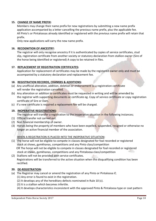### **15. CHANGE OF NAME PREFIX:**

 Members may change their name prefix for new registrations by submitting a new name prefix application accompanied by a letter cancelling the previous name prefix, plus the applicable fee. All Pinto's or Pintaloosas already identified or registered with the previous name prefix will retain that prefix.

Only new applications will carry the new name prefix.

### **16. RECOGNITION OF ANCESTRY:**

 The registrar will only recognise ancestry if it is authenticated by copies of service certificates, stud slip, registration certificate from another society or statutory declaration from stallion owner (Sire of the horse being identified or registered) A copy to be retained in files.

### **17. REPLACEMENT OF REGISTRATION CERTIFICATES:**

Application for replacement of certificates may be made by the registered owner only and must be accompanied by a statutory declaration and replacement fee.

### **18. REGISTRATION RECORDS, CHANGES & ADDITIONS:**

- (a) Any unofficial alteration, addition, deletion or endorsement to a registration certificate will render the registration cancelled.
- (b) Any alteration or addition to certificates must be requested in writing and will be amended by the registrar with supporting documents or certificate eg. Copy of service certificate or copy registration certificate of Sire or Dam.
- (c) If a new certificate is required a replacement fee will be charged.

### **19. INOPERATIVE REGISTRATIONS:**

The registrar will transfer a registration to the inoperative situation in the following instances;

- (1) Official transfer not carried out.
- (2) Non financial membership of owner.
- (3) Horses being the property of members who have been expelled, suspended, resigned or otherwise no longer an active financial member of the association.

## WHEN A REGISTRATION IS PLACED INTO THE INOPERATIVE SITUATION:

- (1) The horse will not be eligible to compete in classes designated for foal recorded or registered stock at shows, gymkhanas, competitions and any Pinto class/competition OR The horse will not be eligible to compete in classes designated for foal recorded or registered stock at shows, gymkhanas, competitions and any Pintaloosa class/competition
- (2) Stallions will not be provided with service certificates. Registrations will be transferred to the active situation when the disqualifying condition has been rectified.

### **20. DE-REGISTRATION:**

- (a) The Registrar may cancel or amend the registration of any Pinto or Pintaloosa if;
	- (1) Any error is found to exist in the registration.
	- (2) It develops any of the hereditary defects nominated in Rule 10 (c).
	- (3) It is a stallion which becomes infertile.
	- (4) It develops characteristics inconsistent with the approved Pinto & Pintaloosa type or coat pattern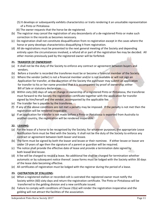- (5) It develops or subsequently exhibits characteristics or traits rendering it an unsuitable representation of a Pinto or Pintaloosa
- (6) The owner requests that the horse be de-registered.
- (b) The registrar may cancel the registration of any descendants of a de-registered Pinto or make such correction in the records as becomes necessary.
- (c) De-registration shall not constitute disqualification from re-registration except in the cases where the horse or pony develops characteristics disqualifying it from registration.
- (d) All de-registrations must be presented to the next general meeting of the Society and depending entirely upon the circumstances involved, a refund all or part of the registration fee may be decided. All other monies previously paid by the registered owner will be forfeited.

### **21. TRANSFER OF OWNERSHIP:**

- (a) It shall not be the duty of the Society to enforce any contract or agreement between buyers and vendors.
- (b) Before a transfer is recorded the transferee must be or become a financial member of the Society.
- (c) Where the vendor (seller) is not a financial member and/or is not available or will not sign an Application for transfer, at the discretion of the Society the purchaser may submit an application for transfer to his or her name provided that it is accompanied by proof of ownership; either Bill of Sale or statutory declaration.
- (d) Within sixty (60) days of sale or change in ownership of a registered Pinto or Pintaloosa, the transferee must forward to the Society the registration certificate together with the application for transfer signed by him/herself and the vendor, accompanied by the applicable fee.
- (e) The transfer fee is payable by the transferee.
- (f) If any of the above conditions are not met a penalty may be imposed. If the penalty is not met then the registration will be rendered inoperable.
- $(g)$  If an application for transfer is not made before a Pinto or Pintaloosa is exported from Australia to another country, the registration will be rendered inoperable.

## **22. LEASING:**

- (a) For the lease of a horse to be recognised by the Society; for whatever purposes, the appropriate Lease Notification form must be filed with the Society. It shall not be the duty of the Society to enforce any contract or agreement between both leaser and lessee.
- (b) The form must be signed by both the leaser and lessee or their nominee. If either lessee or leaser are under 19 years of age then the signature of a parent or guardian will be required.
- (c) The notice shall provide the effective date of lease and provide a termination date signed by both leaser and lessee.
- (d) A fee will be charged to record a lease. No additional fee shall be charged for termination whether automatic or by subsequent notice thereof. Lease forms must be lodged with the Society within 30 days of the lease date becoming effective.
- (e) All certificates of registration must be lodged with the registrar during the period of a lease.

## **23. CASTRATION OF STALLIONS:**

- (a) When a registered stallion or recorded colt is castrated the registered owner must notify the Society within (60) sixty days and return the registration certificate. The Pinto or Pintaloosa will be transferred to the gelding division and a new certificate issued.
- (b) Failure to comply with conditions of Clause 23(a) will render the registration inoperative and the gelding will not attract the facilities of the association.

Independent Pinto Horse Society 2017 **Page 11**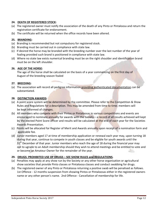### **24. DEATH OF REGISTERED STOCK:**

- (a) The registered owner must notify the association of the death of any Pinto or Pintaloosa and return the registration certificate for endorsement.
- (b) The certificate will be returned when the office records have been altered.

## **25. BRANDING:**

- (a) Branding is recommended but not compulsory for registered stock.
- (b) Branding must be carried out in compliance with state law.
- (c) If desired the horse may be branded with the breeding number over the last number of the year of foaling provided such brand is positioned in compliance with state law.
- (d) Where no state law exists numerical branding must be on the right shoulder and identification brand must be on the left shoulder.

### **26. AGE OF THE HORSE:**

The age of the horse shall be calculated on the basis of a year commencing on the first day of August of the breeding season foaled

### **27. BREEDING:**

(a) The association will record all pedigree information providing authenticated documentation can be substantiated.

### **28. DISTINCTION AWARDS:**

- (a) A point score system will be determined by the committee. Please refer to the Competition & Show Rules and Regulations for a description. This may be amended from time to time; members will be kept informed of changes.
- (b) All members who compete with their Pintos or Pintaloosas in various competitions and events are encouraged to nominate annually for awards with the Society – a record of all results achieved will kept by the elected Point Score officer and results will be calculated at the end of each year for the Societies Awards Presentation.
- (c) Points will be allocated for Register of Merit and Awards annually upon receipt of a nomination form and applicable fee.
- (d) Junior members aged 17 at time of membership application or renewal each year may, upon turning 18 during that year, continue to compete in youth classes and be eligible for youth awards until the  $31<sup>st</sup>$  December of that year. Junior members who reach the age of 18 during the financial year may opt to ugrade to an Adult membership should they wish to attend meetings and be entitled to vote and or become an Amateur Owner for the remainder of the year.

### **29. DRUGS: PROHIBITED USE OF DRUGS – SEE SHOW RULES and REGULATIONS.**

- (a) Penalties may apply at any show run by the Society or any other horse organisation or agricultural show societies that provide Pinto classes or Pintaloosa classes and conduct swabbing for drugs.
- (b) The registered owner of any Pinto or Pintaloosa returning a positive swab will be penalised as follows. 1st Offence - 12 months suspension from showing Pintos or Pintaloosas either in the registered owners name or any other person's name. 2nd Offence - Cancellation of membership for life.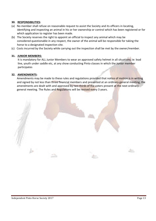#### **30. RESPONSIBILITIES:**

- (a) No member shall refuse on reasonable request to assist the Society and its officers in locating, identifying and inspecting an animal in his or her ownership or control which has been registered or for which application to register has been made.
- (b) The Society reserves the right to appoint an official to inspect any animal which may be considered questionable in any respect, the owner of the animal will be responsible for taking the horse to a designated inspection site.
- (c) Costs incurred by the Society while carrying out the inspection shall be met by the owner/member.

#### **31. JUNIOR MEMBERS:**

It is mandatory for ALL Junior Members to wear an approved safety helmet in all situations; ie: lead line, youth under saddle etc, at any show conducting Pinto classes in which the Junior member participates

#### **32. AMENDMENTS:**

Amendments may be made to these rules and regulations provided that notice of motion is in writing and signed by not less than three financial members and presented at an ordinary general meeting, the amendments are dealt with and approved by two thirds of the voters present at the next ordinary general meeting. The Rules and Regulations will be revised every 3 years.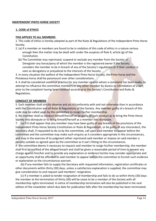#### **INDEPENDENT PINTO HORSE SOCIETY**

#### **1. CODE of ETHICS**

#### **THIS APPLIES TO ALL MEMBERS.**

1. This code of ethics is hereby adopted as part of the Rules & Regulations of the Independent Pinto Horse Society.

- 2. (a) If a member or members are found to be in violation of this code of ethics in a nature serious enough then the matter may be dealt with under the auspices of Rule 9, article (g) of the Constitution.
	- (b) The Committee may reprimand, suspend or exclude any member from the Society or Deregister any horse/pony of which the member is the registered owner if the Society considers the member to be in breach of any of the Society's regulations or if their conduct is seen as derogatory or prejudicial to the interests of the Society.

3. In every situation the welfare of the Independent Pinto Horse Society, the Pinto horse and the Pintaloosa horse shall be paramount over other considerations.

4. It shall be considered unethical practice for any member against whom a complaint has been made, to attempt to influence the committee members or any other member by duress or intimidation of a sort, prior to the complaint having been resolved according to the Society's Constitution and Rules & Regulations.

#### **CONDUCT OF MEMBERS**

5. Each member shall strictly observe and act in conformity with and not otherwise than in accordance with the Constitution and all Rules & Regulations of the Society. Any member guilty of a breach of this code may be called upon by the committee to resign his/her membership.

6. No member shall so conduct himself/herself or be guilty of such conduct as to bring the Pinto Horse Society into disrepute or to bring himself/herself as a member into disrepute.

7. (a) If it shall appear that any member may have been guilty of any breach of the provisions of the Independent Pinto Horse Society Constitution or Rules & Regulations, or be guilty of any misconduct, the Secretary shall, if requested to do so by the committee, call upon said member to appear before the committee and the committee may make such enquiry as it considers appropriate in the circumstances, and may in the exercise of its judgment either reprimand said member or impose on said member a penalty suitable as agreed upon by the committee as it see's fitting to the circumstances.

If the committee deems it necessary to request said member to resign his/her membership, the member shall first be notified of the alleged breach and shall be given a reasonable period of time to answer any charge against him/her and to provide any explanation or evidence he/she may consider appropriate and an opportunity shall be afforded to said member to appear before the committee to furnish such evidence or explanation as the circumstances warrant.

 (b) If any member fails to supply the Secretary with requested information, registration certificates or other documents within thirty (30) days, unless a satisfactory explanation is supplied, the committee may give consideration to and request said members' resignation.

 (c) If a member is asked to tender resignation of membership and fails to do so within thirty (30) days the member at the termination of thirty (30) will be cease to be a member of the Society with all membership rights terminated. A notice of membership termination will also be published in the next edition of the newsletter which due date for publication falls after the membership has been terminated.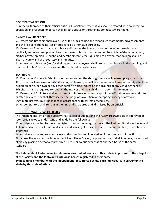### **DISRESPECT of PERSON**

8. In the furtherance of their official duties all Society representatives shall be treated with courtesy, cooperation and respect; no person shall direct abusive or threatening conduct toward them.

#### **OWNERS and BREEDERS**

9. Owners and Breeders shall avoid use of false, misleading and misapplied statements, advertisements and the like concerning horses offered for sale or for stud purposes.

10. Owners or Breeders shall not publically disparage the horse of another owner or breeder, nor publically volunteer an opinion of another owner's horse or a transaction to which he/she is not a party. If his/her private opinion is sought, and he/she sincerely feels qualified to answer, that opinion shall be given privately and with courtesy and integrity.

11. An owner or Breeder (and/or their agents or employees) shall use reasonable care in the handling and treatment of his/her own horses and those placed in his/her care.

#### **EXHIBITORS**

12. Conduct of Owners & Exhibitors in the ring and on the show grounds shall be exemplary at all times. At no time shall an owner or exhibitor conduct himself/herself in a manner which may adversely affect the exhibition of his/her own or any other person's horse. Whilst on the grounds at any venue Owners & Exhibitors shall be required to conduct themselves and their children in a considerate manner.

13. Owners and Exhibitors shall not attempt to influence Judges or appointed officials in any way prior to or after an event, nor shall they accuse the Judge of favouritism or accepting bribery of any form. Legitimate protests must be lodged in accordance with correct procedures.

14. All competitors shall remain in the ring or display area until dismissed by an official.

#### **JUDGES, STEWARDS and OFFICIALS**

The Independent Pinto Horse Society shall expect all Judges and their Stewards/Officials of approved or sponsored shows to understand and abide by the following:

15. A Judge is expected to show the highest standard of integrity toward the Pinto or Pintaloosa Horse and its handlers/riders at all times and shall avoid arriving at decisions made by influence, bias, reputation or ignorance.

16. A Judge is expected to have a clear understanding and knowledge of the standards of the Pinto or Pintaloosa Horse as per the Independent Pinto Horse Society requirements and shall in no way be accused of bias by placing a personally preferred 'Breed' or colour over that of another horse of the same standard.

**The Independent Pinto Horse Society maintains that adherence to this code is important to the integrity of the Society and the Pinto and Pintaloosa horses registered in their name.** 

**By becoming a member with the Independent Pinto Horse Society each individual is in agreement to abide by this code of ethics.**